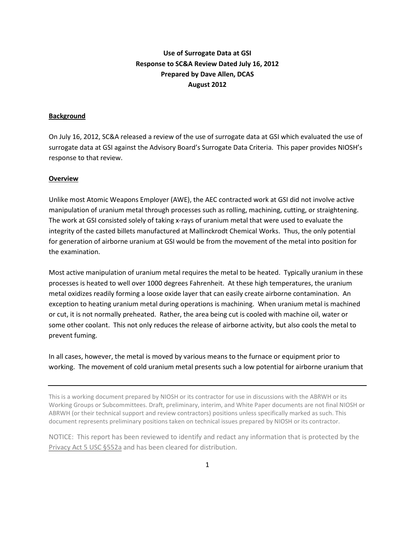# **Use of Surrogate Data at GSI Response to SC&A Review Dated July 16, 2012 Prepared by Dave Allen, DCAS August 2012**

## **Background**

On July 16, 2012, SC&A released a review of the use of surrogate data at GSI which evaluated the use of surrogate data at GSI against the Advisory Board's Surrogate Data Criteria. This paper provides NIOSH's response to that review.

#### **Overview**

Unlike most Atomic Weapons Employer (AWE), the AEC contracted work at GSI did not involve active manipulation of uranium metal through processes such as rolling, machining, cutting, or straightening. The work at GSI consisted solely of taking x-rays of uranium metal that were used to evaluate the integrity of the casted billets manufactured at Mallinckrodt Chemical Works. Thus, the only potential for generation of airborne uranium at GSI would be from the movement of the metal into position for the examination.

Most active manipulation of uranium metal requires the metal to be heated. Typically uranium in these processes is heated to well over 1000 degrees Fahrenheit. At these high temperatures, the uranium metal oxidizes readily forming a loose oxide layer that can easily create airborne contamination. An exception to heating uranium metal during operations is machining. When uranium metal is machined or cut, it is not normally preheated. Rather, the area being cut is cooled with machine oil, water or some other coolant. This not only reduces the release of airborne activity, but also cools the metal to prevent fuming.

In all cases, however, the metal is moved by various means to the furnace or equipment prior to working. The movement of cold uranium metal presents such a low potential for airborne uranium that

This is a working document prepared by NIOSH or its contractor for use in discussions with the ABRWH or its Working Groups or Subcommittees. Draft, preliminary, interim, and White Paper documents are not final NIOSH or ABRWH (or their technical support and review contractors) positions unless specifically marked as such. This document represents preliminary positions taken on technical issues prepared by NIOSH or its contractor.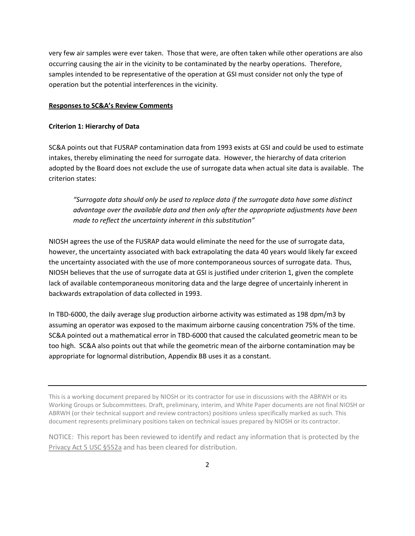very few air samples were ever taken. Those that were, are often taken while other operations are also occurring causing the air in the vicinity to be contaminated by the nearby operations. Therefore, samples intended to be representative of the operation at GSI must consider not only the type of operation but the potential interferences in the vicinity.

#### **Responses to SC&A's Review Comments**

#### **Criterion 1: Hierarchy of Data**

SC&A points out that FUSRAP contamination data from 1993 exists at GSI and could be used to estimate intakes, thereby eliminating the need for surrogate data. However, the hierarchy of data criterion adopted by the Board does not exclude the use of surrogate data when actual site data is available. The criterion states:

*"Surrogate data should only be used to replace data if the surrogate data have some distinct advantage over the available data and then only after the appropriate adjustments have been made to reflect the uncertainty inherent in this substitution"*

NIOSH agrees the use of the FUSRAP data would eliminate the need for the use of surrogate data, however, the uncertainty associated with back extrapolating the data 40 years would likely far exceed the uncertainty associated with the use of more contemporaneous sources of surrogate data. Thus, NIOSH believes that the use of surrogate data at GSI is justified under criterion 1, given the complete lack of available contemporaneous monitoring data and the large degree of uncertainly inherent in backwards extrapolation of data collected in 1993.

In TBD-6000, the daily average slug production airborne activity was estimated as 198 dpm/m3 by assuming an operator was exposed to the maximum airborne causing concentration 75% of the time. SC&A pointed out a mathematical error in TBD-6000 that caused the calculated geometric mean to be too high. SC&A also points out that while the geometric mean of the airborne contamination may be appropriate for lognormal distribution, Appendix BB uses it as a constant.

This is a working document prepared by NIOSH or its contractor for use in discussions with the ABRWH or its Working Groups or Subcommittees. Draft, preliminary, interim, and White Paper documents are not final NIOSH or ABRWH (or their technical support and review contractors) positions unless specifically marked as such. This document represents preliminary positions taken on technical issues prepared by NIOSH or its contractor.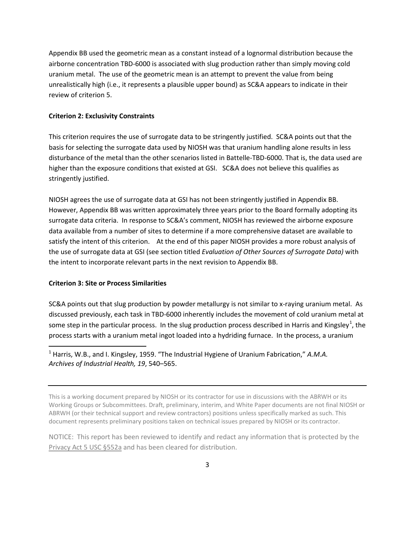Appendix BB used the geometric mean as a constant instead of a lognormal distribution because the airborne concentration TBD-6000 is associated with slug production rather than simply moving cold uranium metal. The use of the geometric mean is an attempt to prevent the value from being unrealistically high (i.e., it represents a plausible upper bound) as SC&A appears to indicate in their review of criterion 5.

## **Criterion 2: Exclusivity Constraints**

This criterion requires the use of surrogate data to be stringently justified. SC&A points out that the basis for selecting the surrogate data used by NIOSH was that uranium handling alone results in less disturbance of the metal than the other scenarios listed in Battelle-TBD-6000. That is, the data used are higher than the exposure conditions that existed at GSI. SC&A does not believe this qualifies as stringently justified.

NIOSH agrees the use of surrogate data at GSI has not been stringently justified in Appendix BB. However, Appendix BB was written approximately three years prior to the Board formally adopting its surrogate data criteria. In response to SC&A's comment, NIOSH has reviewed the airborne exposure data available from a number of sites to determine if a more comprehensive dataset are available to satisfy the intent of this criterion. At the end of this paper NIOSH provides a more robust analysis of the use of surrogate data at GSI (see section titled *Evaluation of Other Sources of Surrogate Data)* with the intent to incorporate relevant parts in the next revision to Appendix BB.

## **Criterion 3: Site or Process Similarities**

SC&A points out that slug production by powder metallurgy is not similar to x-raying uranium metal. As discussed previously, each task in TBD-6000 inherently includes the movement of cold uranium metal at some step in the particular process. In the slug production process described in Harris and Kingsley<sup>[1](#page-2-0)</sup>, the process starts with a uranium metal ingot loaded into a hydriding furnace. In the process, a uranium

<span id="page-2-0"></span> 1 Harris, W.B., and I. Kingsley, 1959. "The Industrial Hygiene of Uranium Fabrication," *A.M.A. Archives of Industrial Health, 19*, 540–565.

This is a working document prepared by NIOSH or its contractor for use in discussions with the ABRWH or its Working Groups or Subcommittees. Draft, preliminary, interim, and White Paper documents are not final NIOSH or ABRWH (or their technical support and review contractors) positions unless specifically marked as such. This document represents preliminary positions taken on technical issues prepared by NIOSH or its contractor.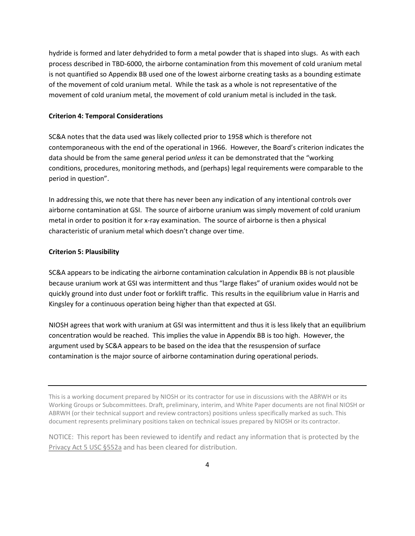hydride is formed and later dehydrided to form a metal powder that is shaped into slugs. As with each process described in TBD-6000, the airborne contamination from this movement of cold uranium metal is not quantified so Appendix BB used one of the lowest airborne creating tasks as a bounding estimate of the movement of cold uranium metal. While the task as a whole is not representative of the movement of cold uranium metal, the movement of cold uranium metal is included in the task.

#### **Criterion 4: Temporal Considerations**

SC&A notes that the data used was likely collected prior to 1958 which is therefore not contemporaneous with the end of the operational in 1966. However, the Board's criterion indicates the data should be from the same general period *unless* it can be demonstrated that the "working conditions, procedures, monitoring methods, and (perhaps) legal requirements were comparable to the period in question".

In addressing this, we note that there has never been any indication of any intentional controls over airborne contamination at GSI. The source of airborne uranium was simply movement of cold uranium metal in order to position it for x-ray examination. The source of airborne is then a physical characteristic of uranium metal which doesn't change over time.

#### **Criterion 5: Plausibility**

SC&A appears to be indicating the airborne contamination calculation in Appendix BB is not plausible because uranium work at GSI was intermittent and thus "large flakes" of uranium oxides would not be quickly ground into dust under foot or forklift traffic. This results in the equilibrium value in Harris and Kingsley for a continuous operation being higher than that expected at GSI.

NIOSH agrees that work with uranium at GSI was intermittent and thus it is less likely that an equilibrium concentration would be reached. This implies the value in Appendix BB is too high. However, the argument used by SC&A appears to be based on the idea that the resuspension of surface contamination is the major source of airborne contamination during operational periods.

This is a working document prepared by NIOSH or its contractor for use in discussions with the ABRWH or its Working Groups or Subcommittees. Draft, preliminary, interim, and White Paper documents are not final NIOSH or ABRWH (or their technical support and review contractors) positions unless specifically marked as such. This document represents preliminary positions taken on technical issues prepared by NIOSH or its contractor.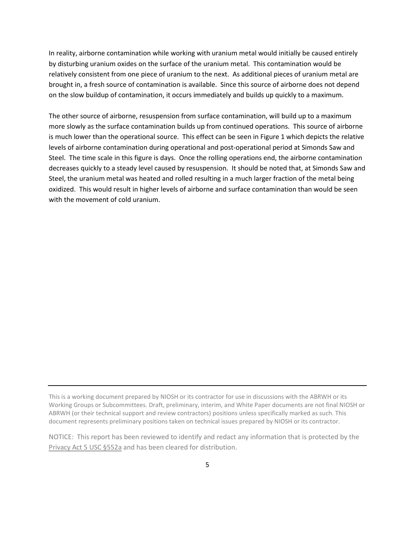In reality, airborne contamination while working with uranium metal would initially be caused entirely by disturbing uranium oxides on the surface of the uranium metal. This contamination would be relatively consistent from one piece of uranium to the next. As additional pieces of uranium metal are brought in, a fresh source of contamination is available. Since this source of airborne does not depend on the slow buildup of contamination, it occurs immediately and builds up quickly to a maximum.

The other source of airborne, resuspension from surface contamination, will build up to a maximum more slowly as the surface contamination builds up from continued operations. This source of airborne is much lower than the operational source. This effect can be seen in Figure 1 which depicts the relative levels of airborne contamination during operational and post-operational period at Simonds Saw and Steel. The time scale in this figure is days. Once the rolling operations end, the airborne contamination decreases quickly to a steady level caused by resuspension. It should be noted that, at Simonds Saw and Steel, the uranium metal was heated and rolled resulting in a much larger fraction of the metal being oxidized. This would result in higher levels of airborne and surface contamination than would be seen with the movement of cold uranium.

This is a working document prepared by NIOSH or its contractor for use in discussions with the ABRWH or its Working Groups or Subcommittees. Draft, preliminary, interim, and White Paper documents are not final NIOSH or ABRWH (or their technical support and review contractors) positions unless specifically marked as such. This document represents preliminary positions taken on technical issues prepared by NIOSH or its contractor.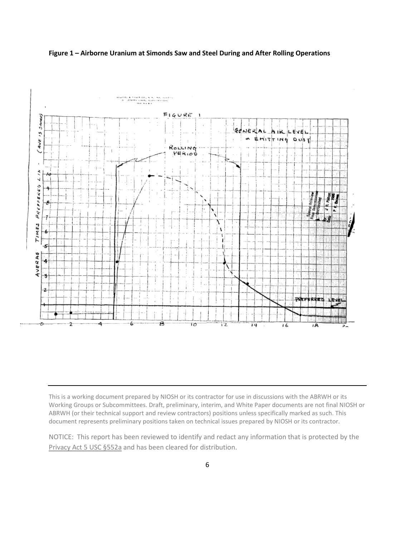





This is a working document prepared by NIOSH or its contractor for use in discussions with the ABRWH or its Working Groups or Subcommittees. Draft, preliminary, interim, and White Paper documents are not final NIOSH or ABRWH (or their technical support and review contractors) positions unless specifically marked as such. This document represents preliminary positions taken on technical issues prepared by NIOSH or its contractor.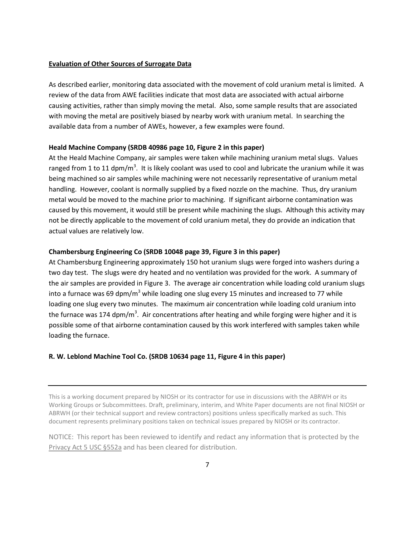## **Evaluation of Other Sources of Surrogate Data**

As described earlier, monitoring data associated with the movement of cold uranium metal is limited. A review of the data from AWE facilities indicate that most data are associated with actual airborne causing activities, rather than simply moving the metal. Also, some sample results that are associated with moving the metal are positively biased by nearby work with uranium metal. In searching the available data from a number of AWEs, however, a few examples were found.

## **Heald Machine Company (SRDB 40986 page 10, Figure 2 in this paper)**

At the Heald Machine Company, air samples were taken while machining uranium metal slugs. Values ranged from 1 to 11 dpm/m<sup>3</sup>. It is likely coolant was used to cool and lubricate the uranium while it was being machined so air samples while machining were not necessarily representative of uranium metal handling. However, coolant is normally supplied by a fixed nozzle on the machine. Thus, dry uranium metal would be moved to the machine prior to machining. If significant airborne contamination was caused by this movement, it would still be present while machining the slugs. Although this activity may not be directly applicable to the movement of cold uranium metal, they do provide an indication that actual values are relatively low.

#### **Chambersburg Engineering Co (SRDB 10048 page 39, Figure 3 in this paper)**

At Chambersburg Engineering approximately 150 hot uranium slugs were forged into washers during a two day test. The slugs were dry heated and no ventilation was provided for the work. A summary of the air samples are provided in Figure 3. The average air concentration while loading cold uranium slugs into a furnace was 69 dpm/ $m<sup>3</sup>$  while loading one slug every 15 minutes and increased to 77 while loading one slug every two minutes. The maximum air concentration while loading cold uranium into the furnace was 174 dpm/m<sup>3</sup>. Air concentrations after heating and while forging were higher and it is possible some of that airborne contamination caused by this work interfered with samples taken while loading the furnace.

## **R. W. Leblond Machine Tool Co. (SRDB 10634 page 11, Figure 4 in this paper)**

This is a working document prepared by NIOSH or its contractor for use in discussions with the ABRWH or its Working Groups or Subcommittees. Draft, preliminary, interim, and White Paper documents are not final NIOSH or ABRWH (or their technical support and review contractors) positions unless specifically marked as such. This document represents preliminary positions taken on technical issues prepared by NIOSH or its contractor.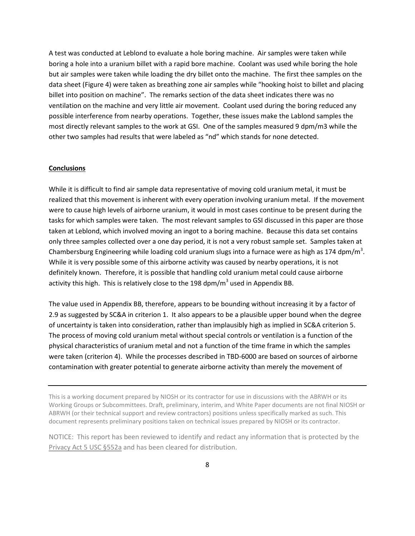A test was conducted at Leblond to evaluate a hole boring machine. Air samples were taken while boring a hole into a uranium billet with a rapid bore machine. Coolant was used while boring the hole but air samples were taken while loading the dry billet onto the machine. The first thee samples on the data sheet (Figure 4) were taken as breathing zone air samples while "hooking hoist to billet and placing billet into position on machine". The remarks section of the data sheet indicates there was no ventilation on the machine and very little air movement. Coolant used during the boring reduced any possible interference from nearby operations. Together, these issues make the Lablond samples the most directly relevant samples to the work at GSI. One of the samples measured 9 dpm/m3 while the other two samples had results that were labeled as "nd" which stands for none detected.

## **Conclusions**

While it is difficult to find air sample data representative of moving cold uranium metal, it must be realized that this movement is inherent with every operation involving uranium metal. If the movement were to cause high levels of airborne uranium, it would in most cases continue to be present during the tasks for which samples were taken. The most relevant samples to GSI discussed in this paper are those taken at Leblond, which involved moving an ingot to a boring machine. Because this data set contains only three samples collected over a one day period, it is not a very robust sample set. Samples taken at Chambersburg Engineering while loading cold uranium slugs into a furnace were as high as 174 dpm/m<sup>3</sup>. While it is very possible some of this airborne activity was caused by nearby operations, it is not definitely known. Therefore, it is possible that handling cold uranium metal could cause airborne activity this high. This is relatively close to the 198 dpm/ $m<sup>3</sup>$  used in Appendix BB.

The value used in Appendix BB, therefore, appears to be bounding without increasing it by a factor of 2.9 as suggested by SC&A in criterion 1. It also appears to be a plausible upper bound when the degree of uncertainty is taken into consideration, rather than implausibly high as implied in SC&A criterion 5. The process of moving cold uranium metal without special controls or ventilation is a function of the physical characteristics of uranium metal and not a function of the time frame in which the samples were taken (criterion 4). While the processes described in TBD-6000 are based on sources of airborne contamination with greater potential to generate airborne activity than merely the movement of

This is a working document prepared by NIOSH or its contractor for use in discussions with the ABRWH or its Working Groups or Subcommittees. Draft, preliminary, interim, and White Paper documents are not final NIOSH or ABRWH (or their technical support and review contractors) positions unless specifically marked as such. This document represents preliminary positions taken on technical issues prepared by NIOSH or its contractor.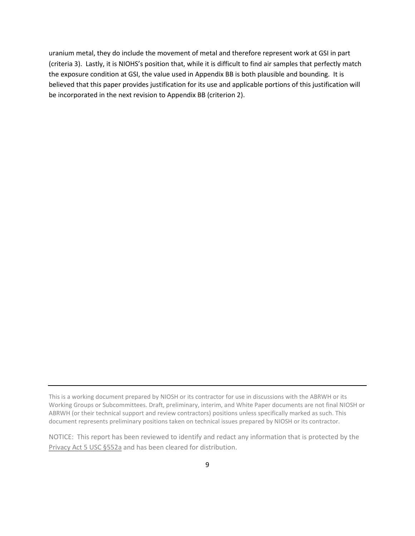uranium metal, they do include the movement of metal and therefore represent work at GSI in part (criteria 3). Lastly, it is NIOHS's position that, while it is difficult to find air samples that perfectly match the exposure condition at GSI, the value used in Appendix BB is both plausible and bounding. It is believed that this paper provides justification for its use and applicable portions of this justification will be incorporated in the next revision to Appendix BB (criterion 2).

This is a working document prepared by NIOSH or its contractor for use in discussions with the ABRWH or its Working Groups or Subcommittees. Draft, preliminary, interim, and White Paper documents are not final NIOSH or ABRWH (or their technical support and review contractors) positions unless specifically marked as such. This document represents preliminary positions taken on technical issues prepared by NIOSH or its contractor.

NOTICE: This report has been reviewed to identify and redact any information that is protected by the Privacy Act 5 USC §552a and has been cleared for distribution.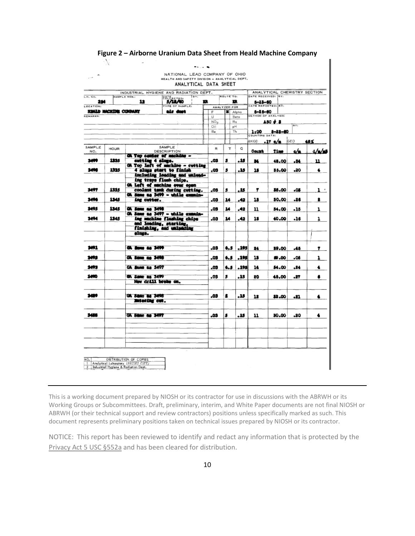| I.H. NO.         | <b>SAMPLE NOS.</b>    | INDUSTRIAL HYGIENE AND RADIATION DEPT.                                             |                               | <b>TBY:</b> |                 | ROUTE TO:    |          | DATE RECEIVED: BY:     | ANALYTICAL CHEMISTRY SECTION |                 |           |
|------------------|-----------------------|------------------------------------------------------------------------------------|-------------------------------|-------------|-----------------|--------------|----------|------------------------|------------------------------|-----------------|-----------|
| 224              |                       | 12                                                                                 | <b>SALE</b> RCTED:<br>5/18/40 | R           |                 |              | n        | 5-23-60                |                              |                 |           |
| <b>LOCATION:</b> |                       |                                                                                    | TYPE OF SAMPLE:               |             |                 | ANALYZED FOR |          | DATE REPORTED: BY:     |                              |                 |           |
| <b>BEMARKS</b>   | HBALD MACHINE COMPANY |                                                                                    | air dust                      |             | F<br>u          | Alpha        | Beto     | 5-25-60                | METHOD OF ANALYSIS!          |                 |           |
|                  |                       |                                                                                    |                               |             | NO <sub>n</sub> |              | Ra       |                        | ASO # 3                      |                 |           |
|                  |                       |                                                                                    |                               |             | ा<br>Be         |              | pH<br>Th |                        |                              | $\overline{av}$ |           |
|                  |                       |                                                                                    |                               |             |                 |              |          | 1:00<br>COUNTING DATA: | $8 - 23 - 60$                |                 |           |
|                  |                       |                                                                                    |                               |             |                 |              |          | BKGD                   | $.17 \, \text{o/m}$          | GEO             | 46%       |
| SAMPLE<br>NO.    | HOUR                  |                                                                                    | SAMPLE<br>DESCRIPTION         |             | R               | T            | Q        | <b>Count</b>           | <b>Time</b>                  | ء∕ہ             | فتأنثانه  |
| 3499             | 1135                  | GA Top center of machine -<br>cutting 4 sings.<br>Oh Top left of machine - cutting |                               |             | .03             | 5            | . 15     | 34                     | 48.00                        | .84             | 11        |
| 3498             | 1335                  |                                                                                    | 4 alugs start to finish       |             | -03             | 5            | .15      | 18                     | 35.00                        | .20             | $\bullet$ |
|                  |                       |                                                                                    | including loading and unlead- |             |                 |              |          |                        |                              |                 |           |
|                  |                       |                                                                                    | ing trays flush chips.        |             |                 |              |          |                        |                              |                 |           |
| 3497             | 1335                  | Oh Left of sachine over open                                                       |                               |             | -03             | s            | . 15     | 7                      | 86.00                        | -05             | ı.        |
|                  |                       | coolant tank during cutting.<br>CA Same as 3499 - while examin-                    |                               |             |                 |              |          |                        |                              |                 |           |
| 3496             | 1345                  | ing cutter.                                                                        |                               |             | -03             | 14           | .42      | 18                     | 30.00                        | .26             | 2         |
| 3495             | 1345                  | Oh Same as 3498                                                                    |                               |             | -03             | 14           | -42      | n                      | 34.00                        | -15             | ı         |
| 3494             | 1345                  | GA Same as 3497 - while expain-                                                    | ing machine flushing chips    |             | -03             | 14           | .42      | 18                     | 40.00                        | -16             | ı         |
|                  |                       | and loading, starting,                                                             |                               |             |                 |              |          |                        |                              |                 |           |
|                  |                       | slugs.                                                                             |                               |             |                 |              |          |                        |                              |                 |           |
|                  |                       |                                                                                    |                               |             |                 |              |          |                        |                              |                 |           |
| 3491             |                       | GA Same as 3499                                                                    |                               |             | -03             | t.s          | .195     | 24                     | 39.00                        | -45             | 7         |
| 3492             |                       | CA Same as 3498                                                                    |                               |             | -03             | 6.5          | . 195    | 18                     | <b>M.00</b>                  | -06             | ı         |
| 3493             |                       | CA Same as 3407                                                                    |                               |             | -03             | 6.5          | ادور .   | 14                     | 34.00                        | .24             | ٠         |
| 3490             |                       | GA Same as 3499                                                                    |                               |             | -03             | s            | . 15     | 20                     | 45.00                        | -27             | 6         |
|                  |                       | Now drill broke on.                                                                |                               |             |                 |              |          |                        |                              |                 |           |
| 3489             |                       | <b>GA Same as 3498</b>                                                             |                               |             | .03             |              | .15      | 12                     | 32.00                        | -21             | 4         |
|                  |                       | Entering cut.                                                                      |                               |             |                 |              |          |                        |                              |                 |           |
| 3488             |                       | <b>GA Since as 3497</b>                                                            |                               |             | .03             | s            | . 15     | 11                     | 30.00                        | -20             | 4         |
|                  |                       |                                                                                    |                               |             |                 |              |          |                        |                              |                 |           |
|                  |                       |                                                                                    |                               |             |                 |              |          |                        |                              |                 |           |
|                  |                       |                                                                                    |                               |             |                 |              |          |                        |                              |                 |           |

## **Figure 2 – Airborne Uranium Data Sheet from Heald Machine Company**

f.

This is a working document prepared by NIOSH or its contractor for use in discussions with the ABRWH or its Working Groups or Subcommittees. Draft, preliminary, interim, and White Paper documents are not final NIOSH or ABRWH (or their technical support and review contractors) positions unless specifically marked as such. This document represents preliminary positions taken on technical issues prepared by NIOSH or its contractor.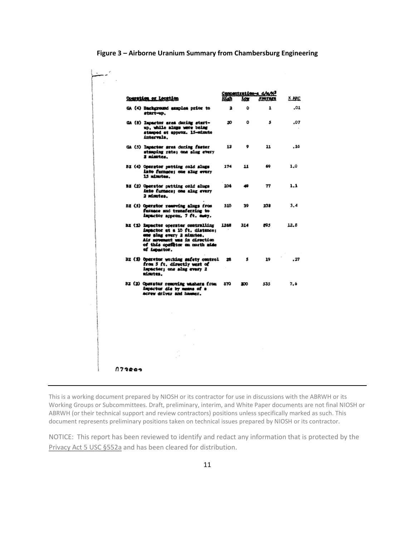| Coeration or Location                                                                                                                                                                  |      | Lou . | Concentration-a d/m/M <sup>3</sup><br>Average | X MAC |
|----------------------------------------------------------------------------------------------------------------------------------------------------------------------------------------|------|-------|-----------------------------------------------|-------|
| GA (4) Background annules prior to<br>start-up.                                                                                                                                        | 2    | ٥     | ı                                             | .01   |
| GA (8) Impactor area during start-<br>up, while alugs were being<br>stamped at approx. 15-minute<br>intervals.                                                                         | 20   | ٥     | s                                             | .07   |
| GA (5) Impactor srea during faster<br>stsaping rate; one slug every<br>2 minutes.                                                                                                      | 13   | ۰     | 11                                            | . 16  |
| BZ (4) Operator patting cold slugs<br>into furnace; one slug every<br>15 minutes.                                                                                                      | 174  | 11    | 69                                            | 1.0   |
| BZ (2) Operator putting cold slugs<br>into furnace; one alug every<br>2 minutes.                                                                                                       | 106  | 49    | 77                                            | 1.1   |
| BE (5) Operator removing alugs from<br>furnace and transferring to<br>impactor approx. 7 ft. cumy.                                                                                     | 510  | 39    | 238                                           | 3.4   |
| BI (S) Impactor operator controlling<br>impactor at a 10 ft. distance:<br>one slug every 2 nimites.<br>Air movement was in direction<br>of this opefitor on morth side<br>of impactor. | 1268 | 314   | 895                                           | 12.8  |
| BZ (3) Operator working safety control<br>from 5 ft. directly west of<br>impactor; one sing every 2<br>siartes.                                                                        | 28   | s     | 19                                            | .27   |
| B2 (2) Operator removing washers from<br>impactor die by mesus of a<br>acrew driver and hammer.                                                                                        | 870  | 200   | 535                                           | 7,6   |
|                                                                                                                                                                                        |      |       |                                               |       |
|                                                                                                                                                                                        |      |       |                                               |       |
|                                                                                                                                                                                        |      |       |                                               |       |
| 173209                                                                                                                                                                                 |      |       |                                               |       |

## **Figure 3 – Airborne Uranium Summary from Chambersburg Engineering**

This is a working document prepared by NIOSH or its contractor for use in discussions with the ABRWH or its Working Groups or Subcommittees. Draft, preliminary, interim, and White Paper documents are not final NIOSH or ABRWH (or their technical support and review contractors) positions unless specifically marked as such. This document represents preliminary positions taken on technical issues prepared by NIOSH or its contractor.